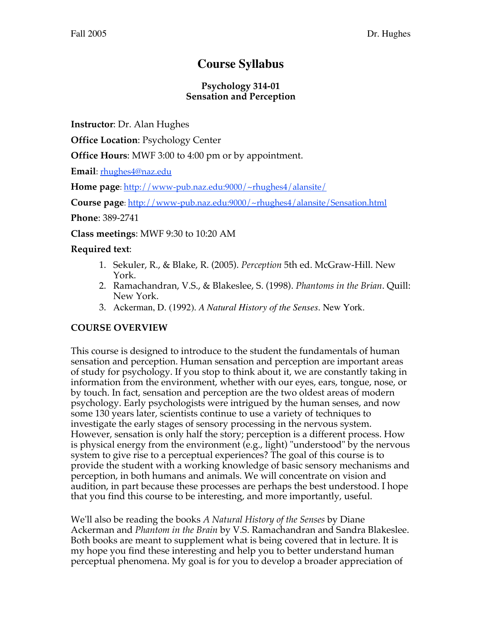# **Course Syllabus**

### **Psychology 314-01 Sensation and Perception**

**Instructor**: Dr. Alan Hughes

**Office Location**: Psychology Center

**Office Hours**: MWF 3:00 to 4:00 pm or by appointment.

**Email**: rhughes4@naz.edu

**Home page**: http://www-pub.naz.edu:9000/~rhughes4/alansite/

**Course page**: http://www-pub.naz.edu:9000/~rhughes4/alansite/Sensation.html

**Phone**: 389-2741

**Class meetings**: MWF 9:30 to 10:20 AM

# **Required text**:

- 1. Sekuler, R., & Blake, R. (2005). *Perception* 5th ed. McGraw-Hill. New York.
- 2. Ramachandran, V.S., & Blakeslee, S. (1998). *Phantoms in the Brian*. Quill: New York.
- 3. Ackerman, D. (1992). *A Natural History of the Senses*. New York.

# **COURSE OVERVIEW**

This course is designed to introduce to the student the fundamentals of human sensation and perception. Human sensation and perception are important areas of study for psychology. If you stop to think about it, we are constantly taking in information from the environment, whether with our eyes, ears, tongue, nose, or by touch. In fact, sensation and perception are the two oldest areas of modern psychology. Early psychologists were intrigued by the human senses, and now some 130 years later, scientists continue to use a variety of techniques to investigate the early stages of sensory processing in the nervous system. However, sensation is only half the story; perception is a different process. How is physical energy from the environment (e.g., light) "understood" by the nervous system to give rise to a perceptual experiences? The goal of this course is to provide the student with a working knowledge of basic sensory mechanisms and perception, in both humans and animals. We will concentrate on vision and audition, in part because these processes are perhaps the best understood. I hope that you find this course to be interesting, and more importantly, useful.

We'll also be reading the books *A Natural History of the Senses* by Diane Ackerman and *Phantom in the Brain* by V.S. Ramachandran and Sandra Blakeslee. Both books are meant to supplement what is being covered that in lecture. It is my hope you find these interesting and help you to better understand human perceptual phenomena. My goal is for you to develop a broader appreciation of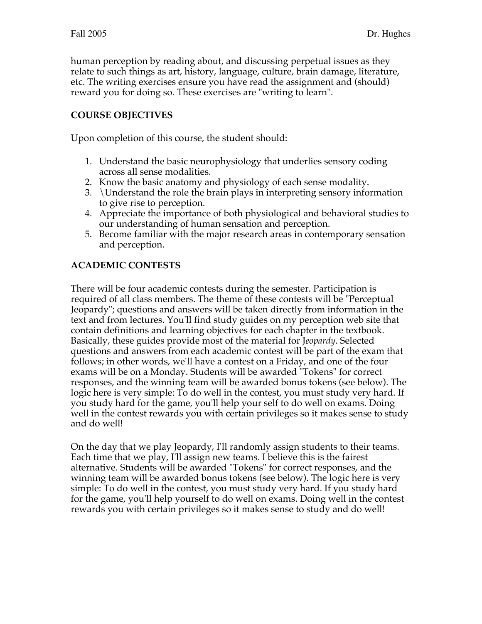human perception by reading about, and discussing perpetual issues as they relate to such things as art, history, language, culture, brain damage, literature, etc. The writing exercises ensure you have read the assignment and (should) reward you for doing so. These exercises are "writing to learn".

## **COURSE OBJECTIVES**

Upon completion of this course, the student should:

- 1. Understand the basic neurophysiology that underlies sensory coding across all sense modalities.
- 2. Know the basic anatomy and physiology of each sense modality.
- 3. \Understand the role the brain plays in interpreting sensory information to give rise to perception.
- 4. Appreciate the importance of both physiological and behavioral studies to our understanding of human sensation and perception.
- 5. Become familiar with the major research areas in contemporary sensation and perception.

## **ACADEMIC CONTESTS**

There will be four academic contests during the semester. Participation is required of all class members. The theme of these contests will be "Perceptual Jeopardy"; questions and answers will be taken directly from information in the text and from lectures. You'll find study guides on my perception web site that contain definitions and learning objectives for each chapter in the textbook. Basically, these guides provide most of the material for J*eopardy*. Selected questions and answers from each academic contest will be part of the exam that follows; in other words, we'll have a contest on a Friday, and one of the four exams will be on a Monday. Students will be awarded "Tokens" for correct responses, and the winning team will be awarded bonus tokens (see below). The logic here is very simple: To do well in the contest, you must study very hard. If you study hard for the game, you'll help your self to do well on exams. Doing well in the contest rewards you with certain privileges so it makes sense to study and do well!

On the day that we play Jeopardy, I'll randomly assign students to their teams. Each time that we play, I'll assign new teams. I believe this is the fairest alternative. Students will be awarded "Tokens" for correct responses, and the winning team will be awarded bonus tokens (see below). The logic here is very simple: To do well in the contest, you must study very hard. If you study hard for the game, you'll help yourself to do well on exams. Doing well in the contest rewards you with certain privileges so it makes sense to study and do well!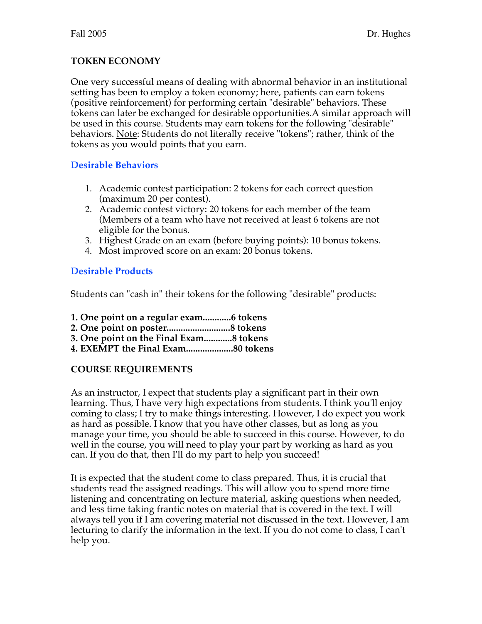# **TOKEN ECONOMY**

One very successful means of dealing with abnormal behavior in an institutional setting has been to employ a token economy; here, patients can earn tokens (positive reinforcement) for performing certain "desirable" behaviors. These tokens can later be exchanged for desirable opportunities.A similar approach will be used in this course. Students may earn tokens for the following "desirable" behaviors. Note: Students do not literally receive "tokens"; rather, think of the tokens as you would points that you earn.

## **Desirable Behaviors**

- 1. Academic contest participation: 2 tokens for each correct question (maximum 20 per contest).
- 2. Academic contest victory: 20 tokens for each member of the team (Members of a team who have not received at least 6 tokens are not eligible for the bonus.
- 3. Highest Grade on an exam (before buying points): 10 bonus tokens.
- 4. Most improved score on an exam: 20 bonus tokens.

# **Desirable Products**

Students can "cash in" their tokens for the following "desirable" products:

- **1. One point on a regular exam............6 tokens**
- **2. One point on poster...........................8 tokens**
- **3. One point on the Final Exam............8 tokens**
- **4. EXEMPT the Final Exam....................80 tokens**

# **COURSE REQUIREMENTS**

As an instructor, I expect that students play a significant part in their own learning. Thus, I have very high expectations from students. I think you'll enjoy coming to class; I try to make things interesting. However, I do expect you work as hard as possible. I know that you have other classes, but as long as you manage your time, you should be able to succeed in this course. However, to do well in the course, you will need to play your part by working as hard as you can. If you do that, then I'll do my part to help you succeed!

It is expected that the student come to class prepared. Thus, it is crucial that students read the assigned readings. This will allow you to spend more time listening and concentrating on lecture material, asking questions when needed, and less time taking frantic notes on material that is covered in the text. I will always tell you if I am covering material not discussed in the text. However, I am lecturing to clarify the information in the text. If you do not come to class, I can't help you.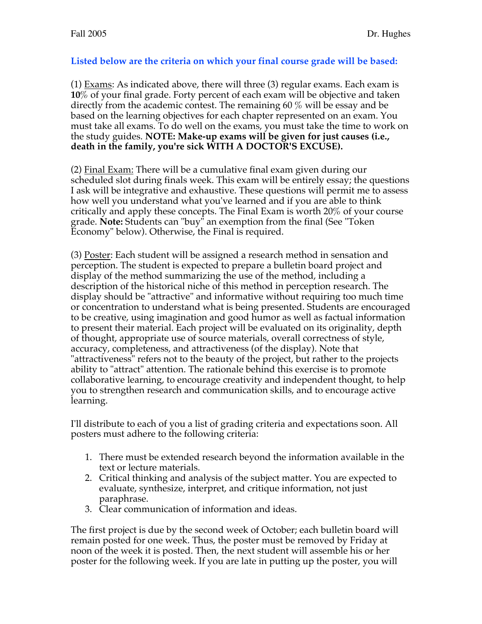### **Listed below are the criteria on which your final course grade will be based:**

(1) Exams: As indicated above, there will three (3) regular exams. Each exam is **10**% of your final grade. Forty percent of each exam will be objective and taken directly from the academic contest. The remaining 60 % will be essay and be based on the learning objectives for each chapter represented on an exam. You must take all exams. To do well on the exams, you must take the time to work on the study guides. **NOTE: Make-up exams will be given for just causes (i.e., death in the family, you're sick WITH A DOCTOR'S EXCUSE).**

(2) Final Exam: There will be a cumulative final exam given during our scheduled slot during finals week. This exam will be entirely essay; the questions I ask will be integrative and exhaustive. These questions will permit me to assess how well you understand what you've learned and if you are able to think critically and apply these concepts. The Final Exam is worth 20% of your course grade. **Note:** Students can "buy" an exemption from the final (See "Token Economy" below). Otherwise, the Final is required.

(3) Poster: Each student will be assigned a research method in sensation and perception. The student is expected to prepare a bulletin board project and display of the method summarizing the use of the method, including a description of the historical niche of this method in perception research. The display should be "attractive" and informative without requiring too much time or concentration to understand what is being presented. Students are encouraged to be creative, using imagination and good humor as well as factual information to present their material. Each project will be evaluated on its originality, depth of thought, appropriate use of source materials, overall correctness of style, accuracy, completeness, and attractiveness (of the display). Note that "attractiveness" refers not to the beauty of the project, but rather to the projects ability to "attract" attention. The rationale behind this exercise is to promote collaborative learning, to encourage creativity and independent thought, to help you to strengthen research and communication skills, and to encourage active learning.

I'll distribute to each of you a list of grading criteria and expectations soon. All posters must adhere to the following criteria:

- 1. There must be extended research beyond the information available in the text or lecture materials.
- 2. Critical thinking and analysis of the subject matter. You are expected to evaluate, synthesize, interpret, and critique information, not just paraphrase.
- 3. Clear communication of information and ideas.

The first project is due by the second week of October; each bulletin board will remain posted for one week. Thus, the poster must be removed by Friday at noon of the week it is posted. Then, the next student will assemble his or her poster for the following week. If you are late in putting up the poster, you will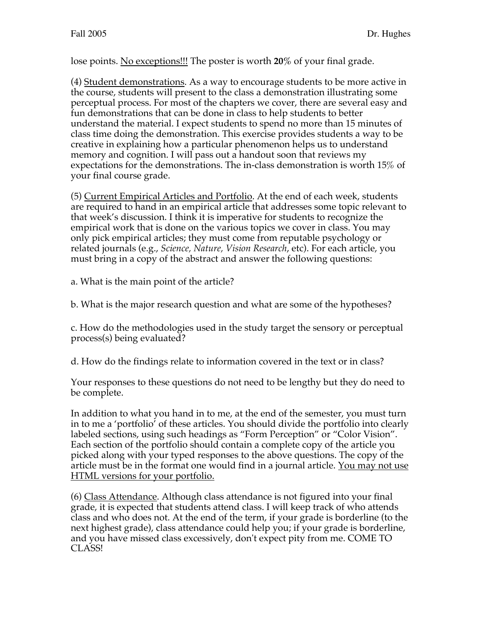lose points. No exceptions!!! The poster is worth **20%** of your final grade.

(4) Student demonstrations. As a way to encourage students to be more active in the course, students will present to the class a demonstration illustrating some perceptual process. For most of the chapters we cover, there are several easy and fun demonstrations that can be done in class to help students to better understand the material. I expect students to spend no more than 15 minutes of class time doing the demonstration. This exercise provides students a way to be creative in explaining how a particular phenomenon helps us to understand memory and cognition. I will pass out a handout soon that reviews my expectations for the demonstrations. The in-class demonstration is worth 15% of your final course grade.

(5) Current Empirical Articles and Portfolio. At the end of each week, students are required to hand in an empirical article that addresses some topic relevant to that week's discussion. I think it is imperative for students to recognize the empirical work that is done on the various topics we cover in class. You may only pick empirical articles; they must come from reputable psychology or related journals (e.g., *Science, Nature, Vision Research*, etc). For each article, you must bring in a copy of the abstract and answer the following questions:

a. What is the main point of the article?

b. What is the major research question and what are some of the hypotheses?

c. How do the methodologies used in the study target the sensory or perceptual process(s) being evaluated?

d. How do the findings relate to information covered in the text or in class?

Your responses to these questions do not need to be lengthy but they do need to be complete.

In addition to what you hand in to me, at the end of the semester, you must turn in to me a 'portfolio' of these articles. You should divide the portfolio into clearly labeled sections, using such headings as "Form Perception" or "Color Vision". Each section of the portfolio should contain a complete copy of the article you picked along with your typed responses to the above questions. The copy of the article must be in the format one would find in a journal article. You may not use HTML versions for your portfolio.

(6) Class Attendance. Although class attendance is not figured into your final grade, it is expected that students attend class. I will keep track of who attends class and who does not. At the end of the term, if your grade is borderline (to the next highest grade), class attendance could help you; if your grade is borderline, and you have missed class excessively, don't expect pity from me. COME TO CLASS!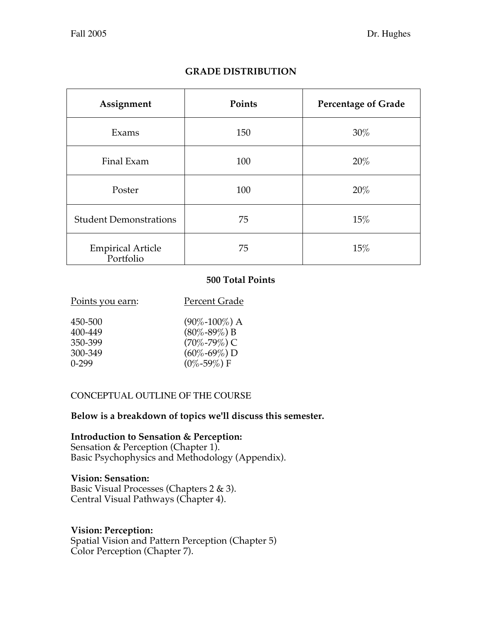| Assignment                     | Points | <b>Percentage of Grade</b> |
|--------------------------------|--------|----------------------------|
| Exams                          | 150    | $30\%$                     |
| Final Exam                     | 100    | 20%                        |
| Poster                         | 100    | $20\%$                     |
| <b>Student Demonstrations</b>  | 75     | 15%                        |
| Empirical Article<br>Portfolio | 75     | 15%                        |

# **GRADE DISTRIBUTION**

### **500 Total Points**

| 450-500 | $(90\% - 100\%)$ A |
|---------|--------------------|
| 400-449 | $(80\% - 89\%) B$  |
| 350-399 | $(70\% - 79\%)$ C  |
| 300-349 | $(60\% - 69\%) D$  |
| $0-299$ | $(0\% - 59\%)$ F   |
|         |                    |

Points you earn: Percent Grade

### CONCEPTUAL OUTLINE OF THE COURSE

### **Below is a breakdown of topics we'll discuss this semester.**

**Introduction to Sensation & Perception:** Sensation & Perception (Chapter 1). Basic Psychophysics and Methodology (Appendix).

### **Vision: Sensation:**

Basic Visual Processes (Chapters 2 & 3). Central Visual Pathways (Chapter 4).

### **Vision: Perception:**

Spatial Vision and Pattern Perception (Chapter 5) Color Perception (Chapter 7).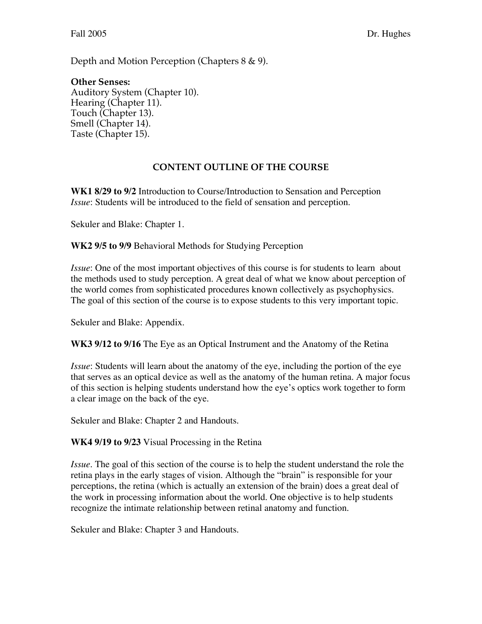Depth and Motion Perception (Chapters 8 & 9).

#### **Other Senses:** Auditory System (Chapter 10). Hearing (Chapter 11). Touch (Chapter 13). Smell (Chapter 14). Taste (Chapter 15).

## **CONTENT OUTLINE OF THE COURSE**

**WK1 8/29 to 9/2** Introduction to Course/Introduction to Sensation and Perception *Issue*: Students will be introduced to the field of sensation and perception.

Sekuler and Blake: Chapter 1.

**WK2 9/5 to 9/9** Behavioral Methods for Studying Perception

*Issue*: One of the most important objectives of this course is for students to learn about the methods used to study perception. A great deal of what we know about perception of the world comes from sophisticated procedures known collectively as psychophysics. The goal of this section of the course is to expose students to this very important topic.

Sekuler and Blake: Appendix.

**WK3 9/12 to 9/16** The Eye as an Optical Instrument and the Anatomy of the Retina

*Issue*: Students will learn about the anatomy of the eye, including the portion of the eye that serves as an optical device as well as the anatomy of the human retina. A major focus of this section is helping students understand how the eye's optics work together to form a clear image on the back of the eye.

Sekuler and Blake: Chapter 2 and Handouts.

**WK4 9/19 to 9/23** Visual Processing in the Retina

*Issue*. The goal of this section of the course is to help the student understand the role the retina plays in the early stages of vision. Although the "brain" is responsible for your perceptions, the retina (which is actually an extension of the brain) does a great deal of the work in processing information about the world. One objective is to help students recognize the intimate relationship between retinal anatomy and function.

Sekuler and Blake: Chapter 3 and Handouts.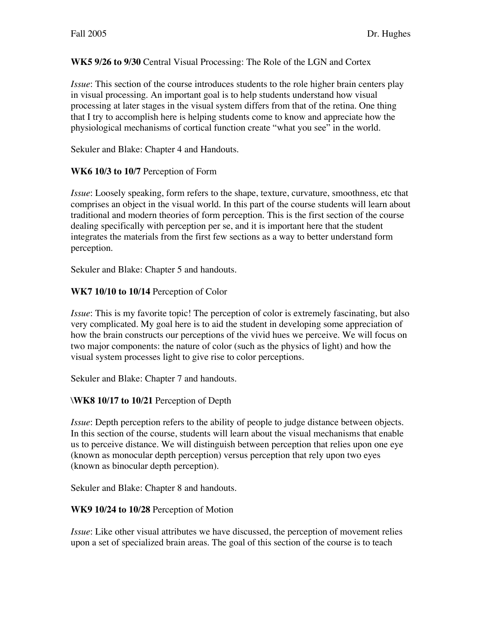### **WK5 9/26 to 9/30** Central Visual Processing: The Role of the LGN and Cortex

*Issue*: This section of the course introduces students to the role higher brain centers play in visual processing. An important goal is to help students understand how visual processing at later stages in the visual system differs from that of the retina. One thing that I try to accomplish here is helping students come to know and appreciate how the physiological mechanisms of cortical function create "what you see" in the world.

Sekuler and Blake: Chapter 4 and Handouts.

### **WK6 10/3 to 10/7** Perception of Form

*Issue*: Loosely speaking, form refers to the shape, texture, curvature, smoothness, etc that comprises an object in the visual world. In this part of the course students will learn about traditional and modern theories of form perception. This is the first section of the course dealing specifically with perception per se, and it is important here that the student integrates the materials from the first few sections as a way to better understand form perception.

Sekuler and Blake: Chapter 5 and handouts.

### **WK7 10/10 to 10/14** Perception of Color

*Issue*: This is my favorite topic! The perception of color is extremely fascinating, but also very complicated. My goal here is to aid the student in developing some appreciation of how the brain constructs our perceptions of the vivid hues we perceive. We will focus on two major components: the nature of color (such as the physics of light) and how the visual system processes light to give rise to color perceptions.

Sekuler and Blake: Chapter 7 and handouts.

### \**WK8 10/17 to 10/21** Perception of Depth

*Issue*: Depth perception refers to the ability of people to judge distance between objects. In this section of the course, students will learn about the visual mechanisms that enable us to perceive distance. We will distinguish between perception that relies upon one eye (known as monocular depth perception) versus perception that rely upon two eyes (known as binocular depth perception).

Sekuler and Blake: Chapter 8 and handouts.

### **WK9 10/24 to 10/28** Perception of Motion

*Issue*: Like other visual attributes we have discussed, the perception of movement relies upon a set of specialized brain areas. The goal of this section of the course is to teach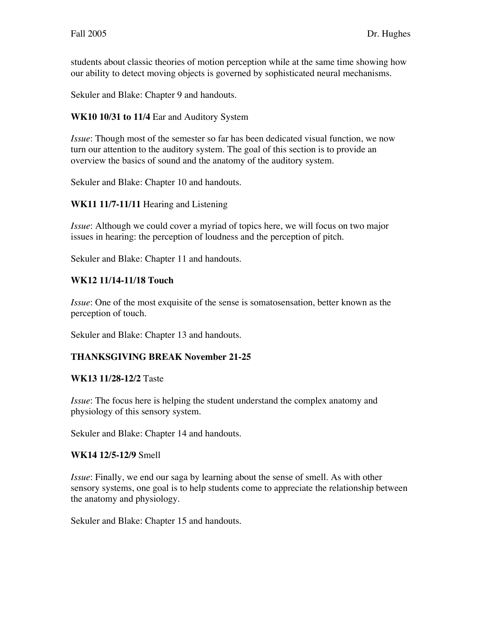students about classic theories of motion perception while at the same time showing how our ability to detect moving objects is governed by sophisticated neural mechanisms.

Sekuler and Blake: Chapter 9 and handouts.

**WK10 10/31 to 11/4** Ear and Auditory System

*Issue*: Though most of the semester so far has been dedicated visual function, we now turn our attention to the auditory system. The goal of this section is to provide an overview the basics of sound and the anatomy of the auditory system.

Sekuler and Blake: Chapter 10 and handouts.

### **WK11 11/7-11/11** Hearing and Listening

*Issue*: Although we could cover a myriad of topics here, we will focus on two major issues in hearing: the perception of loudness and the perception of pitch.

Sekuler and Blake: Chapter 11 and handouts.

### **WK12 11/14-11/18 Touch**

*Issue*: One of the most exquisite of the sense is somatosensation, better known as the perception of touch.

Sekuler and Blake: Chapter 13 and handouts.

### **THANKSGIVING BREAK November 21-25**

#### **WK13 11/28-12/2** Taste

*Issue*: The focus here is helping the student understand the complex anatomy and physiology of this sensory system.

Sekuler and Blake: Chapter 14 and handouts.

### **WK14 12/5-12/9** Smell

*Issue*: Finally, we end our saga by learning about the sense of smell. As with other sensory systems, one goal is to help students come to appreciate the relationship between the anatomy and physiology.

Sekuler and Blake: Chapter 15 and handouts.